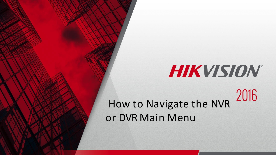# HIKVISION®

2016 How to Navigate the NVR or DVR Main Menu

© 2015HikvisionUSA Inc. All Rights Reserved. Confidential and Proprietary.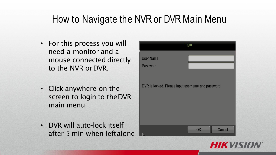- For this process you will need a monitor and a mouse connected directly to the NVR orDVR.
- Click anywhere on the screen to login to theDVR main menu
- DVR will auto-lock itself after 5 min when leftalone



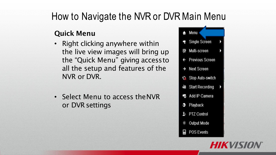#### **Quick Menu**

- Right clicking anywhere within the live view images will bring up the "Quick Menu" giving accessto all the setup and features of the NVR or DVR.
- Select Menu to access theNVR or DVR settings



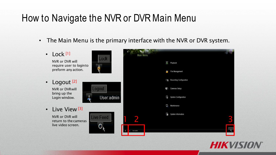• The Main Menu is the primary interface with the NVR or DVR system.

| Lock <sup>[1]</sup><br>$\bullet$<br>Lock<br>NVR or DVR will | <b>Main Menu</b><br>$\mathbf{0}$<br>Playback |
|-------------------------------------------------------------|----------------------------------------------|
| require user to loginto<br>Ĥ<br>preform any action.         | <b>File Management</b>                       |
| Logout <sup>[2]</sup><br>$\bullet$                          | Recording Configuration                      |
| Logout<br><b>NVR or DVRwill</b>                             | <b>Cameras Setup</b><br>$-63.5$              |
| bring up the<br>User:admin<br>Login window.                 | E.<br><b>System Configuration</b>            |
| Live View <sup>[3]</sup><br>$\bullet$                       | للجيا<br>Maintenance                         |
| NVR or DVR will<br>ive Feed<br>return to the cameras        | <b>I</b><br>System Information               |
| live video screen.                                          | <b>User</b> admin                            |

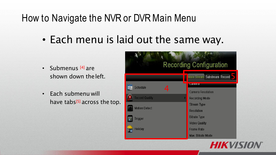• Each menu is laid out the same way.

- Submenus <sup>[4]</sup> are shown down theleft.
- Each submenu will have tabs $[5]$  across the top.